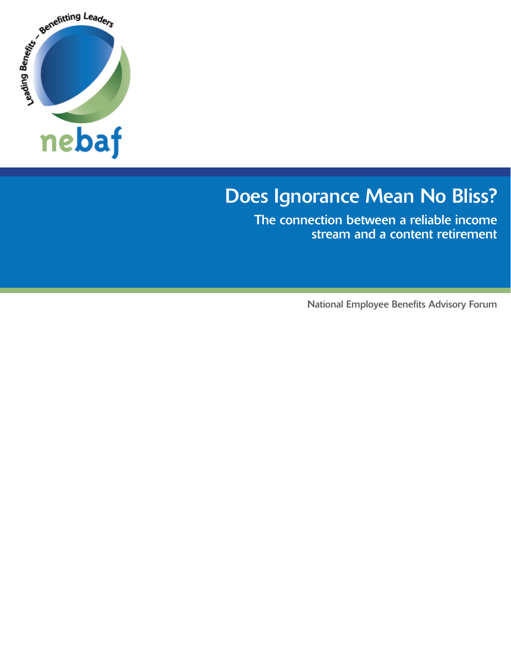

# Does Ignorance Mean No Bliss?

The connection between a reliable income stream and a content retirement

National Employee Benefits Advisory Forum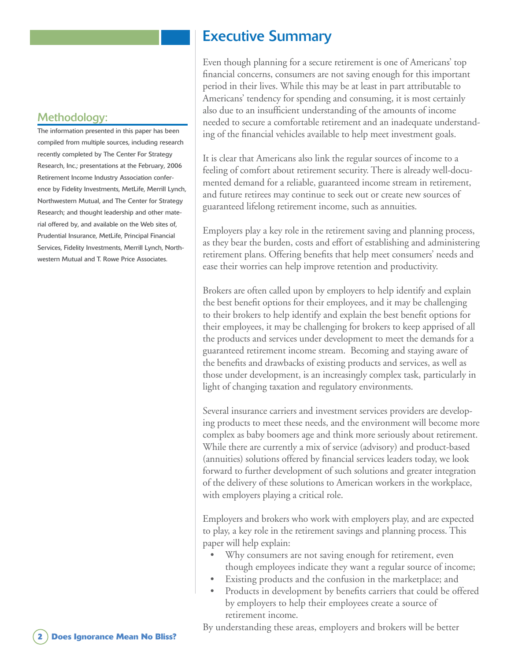#### Methodology:

The information presented in this paper has been compiled from multiple sources, including research recently completed by The Center For Strategy Research, Inc.; presentations at the February, 2006 Retirement Income Industry Association conference by Fidelity Investments, MetLife, Merrill Lynch, Northwestern Mutual, and The Center for Strategy Research; and thought leadership and other material offered by, and available on the Web sites of, Prudential Insurance, MetLife, Principal Financial Services, Fidelity Investments, Merrill Lynch, Northwestern Mutual and T. Rowe Price Associates.

## Executive Summary

Even though planning for a secure retirement is one of Americans' top financial concerns, consumers are not saving enough for this important period in their lives. While this may be at least in part attributable to Americans' tendency for spending and consuming, it is most certainly also due to an insufficient understanding of the amounts of income needed to secure a comfortable retirement and an inadequate understanding of the financial vehicles available to help meet investment goals.

It is clear that Americans also link the regular sources of income to a feeling of comfort about retirement security. There is already well-documented demand for a reliable, guaranteed income stream in retirement, and future retirees may continue to seek out or create new sources of guaranteed lifelong retirement income, such as annuities.

Employers play a key role in the retirement saving and planning process, as they bear the burden, costs and effort of establishing and administering retirement plans. Offering benefits that help meet consumers' needs and ease their worries can help improve retention and productivity.

Brokers are often called upon by employers to help identify and explain the best benefit options for their employees, and it may be challenging to their brokers to help identify and explain the best benefit options for their employees, it may be challenging for brokers to keep apprised of all the products and services under development to meet the demands for a guaranteed retirement income stream. Becoming and staying aware of the benefits and drawbacks of existing products and services, as well as those under development, is an increasingly complex task, particularly in light of changing taxation and regulatory environments.

Several insurance carriers and investment services providers are developing products to meet these needs, and the environment will become more complex as baby boomers age and think more seriously about retirement. While there are currently a mix of service (advisory) and product-based (annuities) solutions offered by financial services leaders today, we look forward to further development of such solutions and greater integration of the delivery of these solutions to American workers in the workplace, with employers playing a critical role.

Employers and brokers who work with employers play, and are expected to play, a key role in the retirement savings and planning process. This paper will help explain:

- Why consumers are not saving enough for retirement, even though employees indicate they want a regular source of income; •
- Existing products and the confusion in the marketplace; and •
- Products in development by benefits carriers that could be offered by employers to help their employees create a source of retirement income. •

By understanding these areas, employers and brokers will be better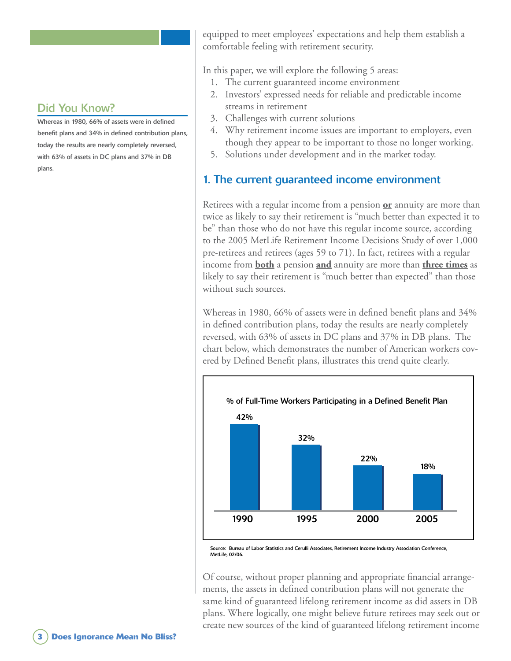Whereas in 1980, 66% of assets were in defined benefit plans and 34% in defined contribution plans, today the results are nearly completely reversed, with 63% of assets in DC plans and 37% in DB plans.

equipped to meet employees' expectations and help them establish a comfortable feeling with retirement security.

In this paper, we will explore the following 5 areas:

- 1. The current guaranteed income environment
- Investors' expressed needs for reliable and predictable income 2. streams in retirement
- Challenges with current solutions 3.
- Why retirement income issues are important to employers, even 4. though they appear to be important to those no longer working.
- 5. Solutions under development and in the market today.

#### 1. The current guaranteed income environment

Retirees with a regular income from a pension **or** annuity are more than twice as likely to say their retirement is "much better than expected it to be" than those who do not have this regular income source, according to the 2005 MetLife Retirement Income Decisions Study of over 1,000 pre-retirees and retirees (ages 59 to 71). In fact, retirees with a regular income from **both** a pension **and** annuity are more than **three times** as likely to say their retirement is "much better than expected" than those without such sources.

Whereas in 1980, 66% of assets were in defined benefit plans and 34% in defined contribution plans, today the results are nearly completely reversed, with 63% of assets in DC plans and 37% in DB plans. The chart below, which demonstrates the number of American workers covered by Defined Benefit plans, illustrates this trend quite clearly.



Source: Bureau of Labor Statistics and Cerulli Associates, Retirement Income Industry Association Conference, MetLife, 02/06

Of course, without proper planning and appropriate financial arrangements, the assets in defined contribution plans will not generate the same kind of guaranteed lifelong retirement income as did assets in DB plans. Where logically, one might believe future retirees may seek out or create new sources of the kind of guaranteed lifelong retirement income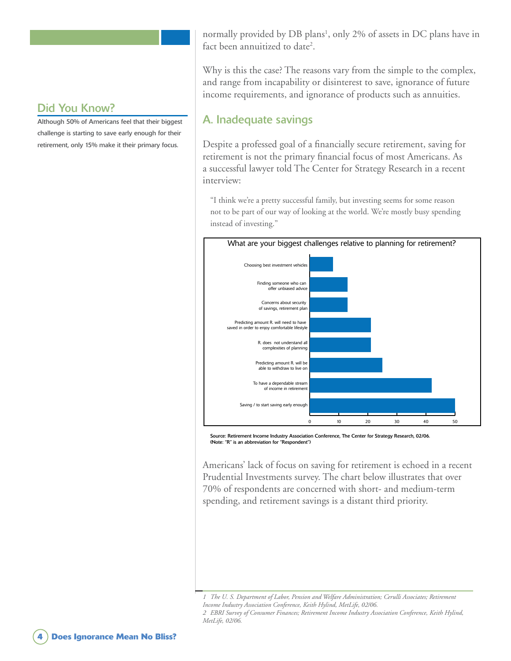Although 50% of Americans feel that their biggest challenge is starting to save early enough for their retirement, only 15% make it their primary focus.

normally provided by DB plans<sup>1</sup>, only 2% of assets in DC plans have in fact been annuitized to date<sup>2</sup>.

Why is this the case? The reasons vary from the simple to the complex, and range from incapability or disinterest to save, ignorance of future income requirements, and ignorance of products such as annuities.

#### A. Inadequate savings

Despite a professed goal of a financially secure retirement, saving for retirement is not the primary financial focus of most Americans. As a successful lawyer told The Center for Strategy Research in a recent interview:

"I think we're a pretty successful family, but investing seems for some reason not to be part of our way of looking at the world. We're mostly busy spending instead of investing."



Source: Retirement Income Industry Association Conference, The Center for Strategy Research, 02/06. (Note: "R" is an abbreviation for "Respondent")

Americans' lack of focus on saving for retirement is echoed in a recent Prudential Investments survey. The chart below illustrates that over 70% of respondents are concerned with short- and medium-term spending, and retirement savings is a distant third priority.

*MetLife, 02/06.*

*The U. S. Department of Labor, Pension and Welfare Administration; Cerulli Associates; Retirement Income Industry Association Conference, Keith Hylind, MetLife, 02/06. EBRI Survey of Consumer Finances; Retirement Income Industry Association Conference, Keith Hylind,*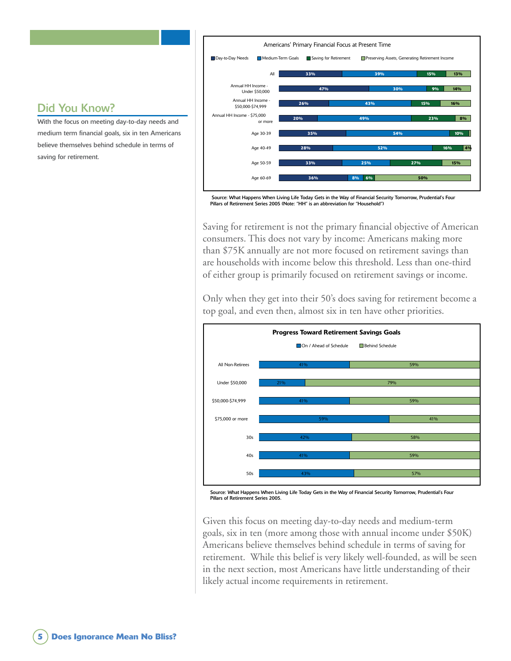

#### Source: What Happens When Living Life Today Gets in the Way of Financial Security Tomorrow, Prudential's Four Pillars of Retirement Series 2005 (Note: "HH" is an abbreviation for "Household")

Saving for retirement is not the primary financial objective of American consumers. This does not vary by income: Americans making more than \$75K annually are not more focused on retirement savings than are households with income below this threshold. Less than one-third of either group is primarily focused on retirement savings or income.

Only when they get into their 50's does saving for retirement become a top goal, and even then, almost six in ten have other priorities.



Source: What Happens When Living Life Today Gets in the Way of Financial Security Tomorrow, Prudential's Four Pillars of Retirement Series 2005.

Given this focus on meeting day-to-day needs and medium-term goals, six in ten (more among those with annual income under \$50K) Americans believe themselves behind schedule in terms of saving for retirement. While this belief is very likely well-founded, as will be seen in the next section, most Americans have little understanding of their likely actual income requirements in retirement.

#### Did You Know?

With the focus on meeting day-to-day needs and medium term financial goals, six in ten Americans believe themselves behind schedule in terms of saving for retirement.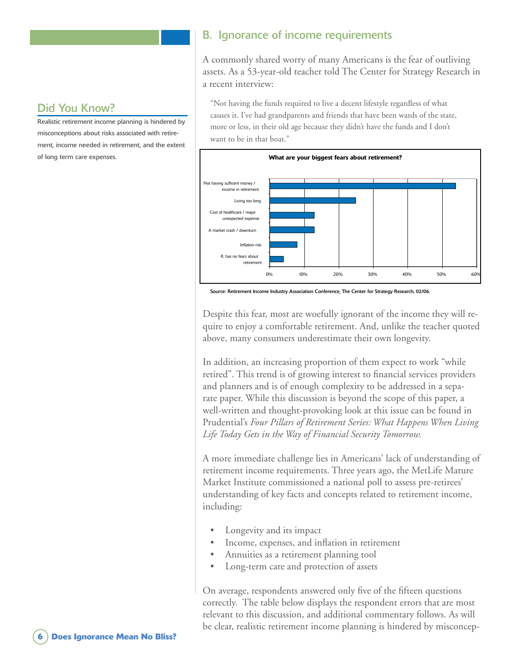#### B. Ignorance of income requirements

A commonly shared worry of many Americans is the fear of outliving assets. As a 53-year-old teacher told The Center for Strategy Research in a recent interview:

"Not having the funds required to live a decent lifestyle regardless of what causes it. I've had grandparents and friends that have been wards of the state, more or less, in their old age because they didn't have the funds and I don't want to be in that boat."



Source: Retirement Income Industry Association Conference, The Center for Strategy Research, 02/06.

Despite this fear, most are woefully ignorant of the income they will require to enjoy a comfortable retirement. And, unlike the teacher quoted above, many consumers underestimate their own longevity.

In addition, an increasing proportion of them expect to work "while retired". This trend is of growing interest to financial services providers and planners and is of enough complexity to be addressed in a separate paper. While this discussion is beyond the scope of this paper, a well-written and thought-provoking look at this issue can be found in Prudential's *Four Pillars of Retirement Series: What Happens When Living Life Today Gets in the Way of Financial Security Tomorrow.*

A more immediate challenge lies in Americans' lack of understanding of retirement income requirements. Three years ago, the MetLife Mature Market Institute commissioned a national poll to assess pre-retirees' understanding of key facts and concepts related to retirement income, including:

- Longevity and its impact •
- Income, expenses, and inflation in retirement •
- Annuities as a retirement planning tool •
- Long-term care and protection of assets •

On average, respondents answered only five of the fifteen questions correctly. The table below displays the respondent errors that are most relevant to this discussion, and additional commentary follows. As will be clear, realistic retirement income planning is hindered by misconcep-

#### Did You Know?

Realistic retirement income planning is hindered by misconceptions about risks associated with retirement, income needed in retirement, and the extent of long term care expenses.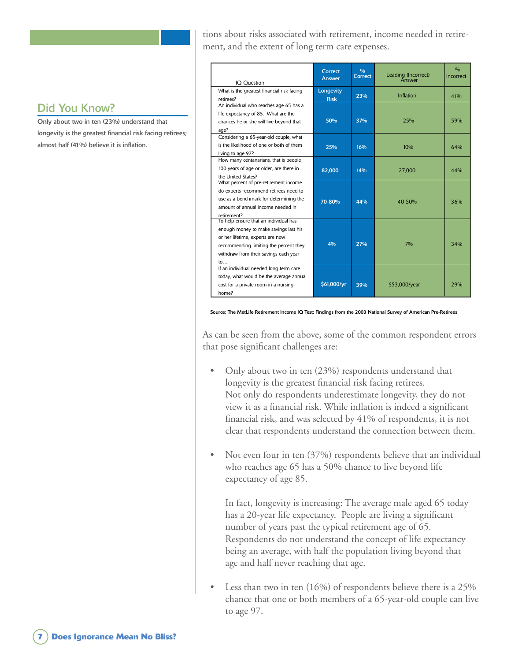tions about risks associated with retirement, income needed in retirement, and the extent of long term care expenses.

Only about two in ten (23%) understand that longevity is the greatest financial risk facing retirees; almost half (41%) believe it is inflation.

| IQ Question                                | Correct<br><b>Answer</b> | 0/0<br>Correct | Leading (Incorrect)<br>Answer | 0/n<br>Incorrect |
|--------------------------------------------|--------------------------|----------------|-------------------------------|------------------|
| What is the greatest financial risk facing | Longevity                |                |                               |                  |
| retirees?                                  | <b>Risk</b>              | 23%            | Inflation                     | 41%              |
| An individual who reaches age 65 has a     |                          |                |                               |                  |
| life expectancy of 85. What are the        |                          |                |                               |                  |
| chances he or she will live beyond that    | 50%                      | 37%            | 25%                           | 59%              |
| age?                                       |                          |                |                               |                  |
| Considering a 65-year-old couple, what     |                          |                |                               |                  |
| is the likelihood of one or both of them   | 25%                      | 16%            | 10%                           | 64%              |
| living to age 97?                          |                          |                |                               |                  |
| How many centanarians, that is people      |                          |                |                               |                  |
| 100 years of age or older, are there in    | 82,000                   | 14%            | 27,000                        | 44%              |
| the United States?                         |                          |                |                               |                  |
| What percent of pre-retirement income      |                          |                |                               |                  |
| do experts recommend retirees need to      |                          |                |                               |                  |
| use as a benchmark for determining the     | 70-80%                   | 44%            | 40-50%                        | 36%              |
| amount of annual income needed in          |                          |                |                               |                  |
| retirement?                                |                          |                |                               |                  |
| To help ensure that an individual has      |                          |                |                               |                  |
| enough money to make savings last his      |                          |                |                               |                  |
| or her lifetime, experts are now           |                          |                |                               |                  |
| recommending limiting the percent they     | 4%                       | 27%            | 7%                            | 34%              |
| withdraw from their savings each year      |                          |                |                               |                  |
| to                                         |                          |                |                               |                  |
| If an individual needed long term care     |                          |                |                               |                  |
| today, what would be the average annual    |                          |                |                               |                  |
| cost for a private room in a nursing       | \$61,000/yr              | 39%            | \$53,000/year                 | 29%              |
| home?                                      |                          |                |                               |                  |

Source: The MetLife Retirement Income IQ Test: Findings from the 2003 National Survey of American Pre-Retirees

As can be seen from the above, some of the common respondent errors that pose significant challenges are:

- Only about two in ten (23%) respondents understand that longevity is the greatest financial risk facing retirees. Not only do respondents underestimate longevity, they do not view it as a financial risk. While inflation is indeed a significant financial risk, and was selected by 41% of respondents, it is not clear that respondents understand the connection between them. •
- Not even four in ten (37%) respondents believe that an individual who reaches age 65 has a 50% chance to live beyond life expectancy of age 85. •

In fact, longevity is increasing: The average male aged 65 today has a 20-year life expectancy. People are living a significant number of years past the typical retirement age of 65. Respondents do not understand the concept of life expectancy being an average, with half the population living beyond that age and half never reaching that age.

Less than two in ten (16%) of respondents believe there is a 25% chance that one or both members of a 65-year-old couple can live to age 97. •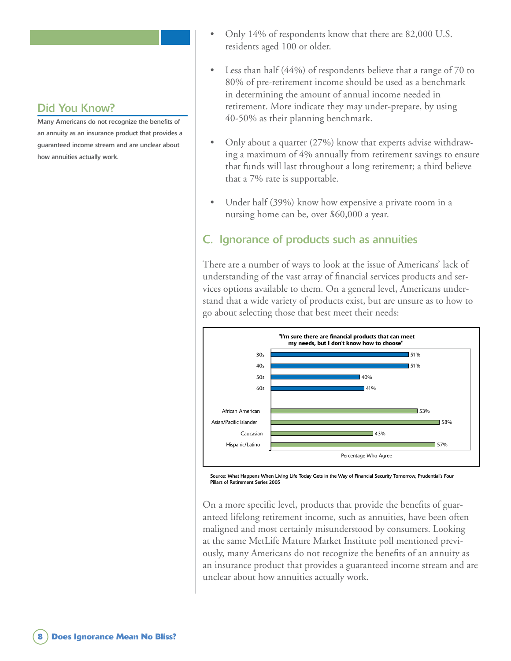Many Americans do not recognize the benefits of an annuity as an insurance product that provides a guaranteed income stream and are unclear about how annuities actually work.

- Only 14% of respondents know that there are 82,000 U.S. residents aged 100 or older. •
- Less than half (44%) of respondents believe that a range of 70 to 80% of pre-retirement income should be used as a benchmark in determining the amount of annual income needed in retirement. More indicate they may under-prepare, by using 40-50% as their planning benchmark. •
- Only about a quarter (27%) know that experts advise withdrawing a maximum of 4% annually from retirement savings to ensure that funds will last throughout a long retirement; a third believe that a 7% rate is supportable. •
- Under half (39%) know how expensive a private room in a nursing home can be, over \$60,000 a year. •

### C. Ignorance of products such as annuities

There are a number of ways to look at the issue of Americans' lack of understanding of the vast array of financial services products and services options available to them. On a general level, Americans understand that a wide variety of products exist, but are unsure as to how to go about selecting those that best meet their needs:



Source: What Happens When Living Life Today Gets in the Way of Financial Security Tomorrow, Prudential's Four Pillars of Retirement Series 2005

On a more specific level, products that provide the benefits of guaranteed lifelong retirement income, such as annuities, have been often maligned and most certainly misunderstood by consumers. Looking at the same MetLife Mature Market Institute poll mentioned previously, many Americans do not recognize the benefits of an annuity as an insurance product that provides a guaranteed income stream and are unclear about how annuities actually work.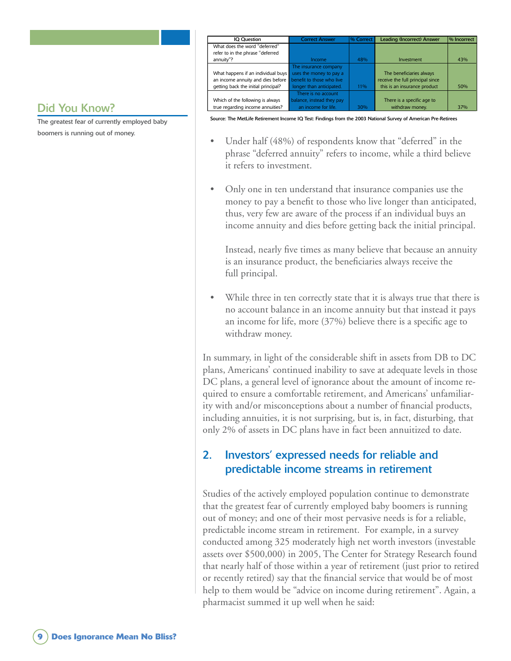|  | Did You Know? |  |
|--|---------------|--|
|  |               |  |

The greatest fear of currently employed baby boomers is running out of money.

| <b>IQ Question</b>                                          | <b>Correct Answer</b>     | 1% Correct | <b>Leading (Incorrect) Answer</b> | % Incorrect |
|-------------------------------------------------------------|---------------------------|------------|-----------------------------------|-------------|
| What does the word "deferred"                               |                           |            |                                   |             |
| refer to in the phrase "deferred                            |                           |            |                                   |             |
| annuity"?                                                   | Income                    | 48%        | Investment                        | 43%         |
|                                                             | The insurance company     |            |                                   |             |
| What happens if an individual buys uses the money to pay a  |                           |            | The beneficiaries always          |             |
| an income annuity and dies before benefit to those who live |                           |            | receive the full principal since  |             |
| getting back the initial principal?                         | longer than anticipated.  | $11\%$     | this is an insurance product      | 50%         |
|                                                             | There is no account       |            |                                   |             |
| Which of the following is always                            | balance, instead they pay |            | There is a specific age to        |             |
| true regarding income annuities?                            | an income for life.       | 30%        | withdraw money.                   | 37%         |

Source: The MetLife Retirement Income IQ Test: Findings from the 2003 National Survey of American Pre-Retirees

- Under half (48%) of respondents know that "deferred" in the phrase "deferred annuity" refers to income, while a third believe it refers to investment. •
- Only one in ten understand that insurance companies use the money to pay a benefit to those who live longer than anticipated, thus, very few are aware of the process if an individual buys an income annuity and dies before getting back the initial principal. •

Instead, nearly five times as many believe that because an annuity is an insurance product, the beneficiaries always receive the full principal.

While three in ten correctly state that it is always true that there is no account balance in an income annuity but that instead it pays an income for life, more (37%) believe there is a specific age to withdraw money. •

In summary, in light of the considerable shift in assets from DB to DC plans, Americans' continued inability to save at adequate levels in those DC plans, a general level of ignorance about the amount of income required to ensure a comfortable retirement, and Americans' unfamiliarity with and/or misconceptions about a number of financial products, including annuities, it is not surprising, but is, in fact, disturbing, that only 2% of assets in DC plans have in fact been annuitized to date.

### 2. Investors' expressed needs for reliable and predictable income streams in retirement

Studies of the actively employed population continue to demonstrate that the greatest fear of currently employed baby boomers is running out of money; and one of their most pervasive needs is for a reliable, predictable income stream in retirement. For example, in a survey conducted among 325 moderately high net worth investors (investable assets over \$500,000) in 2005, The Center for Strategy Research found that nearly half of those within a year of retirement (just prior to retired or recently retired) say that the financial service that would be of most help to them would be "advice on income during retirement". Again, a pharmacist summed it up well when he said: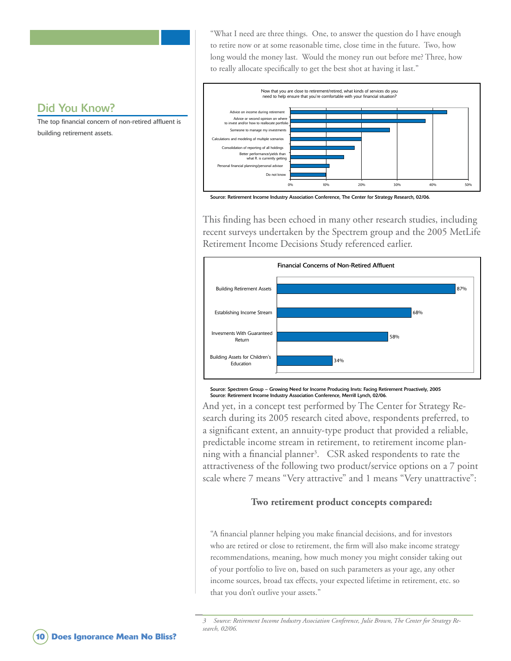"What I need are three things. One, to answer the question do I have enough to retire now or at some reasonable time, close time in the future. Two, how long would the money last. Would the money run out before me? Three, how to really allocate specifically to get the best shot at having it last."

#### Did You Know?

The top financial concern of non-retired affluent is building retirement assets.



Source: Retirement Income Industry Association Conference, The Center for Strategy Research, 02/06.

This finding has been echoed in many other research studies, including recent surveys undertaken by the Spectrem group and the 2005 MetLife Retirement Income Decisions Study referenced earlier.



Source: Spectrem Group – Growing Need for Income Producing Invts: Facing Retirement Proactively, 2005 Source: Retirement Income Industry Association Conference, Merrill Lynch, 02/06.

And yet, in a concept test performed by The Center for Strategy Research during its 2005 research cited above, respondents preferred, to a significant extent, an annuity-type product that provided a reliable, predictable income stream in retirement, to retirement income planning with a financial planner<sup>3</sup>. CSR asked respondents to rate the attractiveness of the following two product/service options on a 7 point scale where 7 means "Very attractive" and 1 means "Very unattractive":

#### **Two retirement product concepts compared:**

"A financial planner helping you make financial decisions, and for investors who are retired or close to retirement, the firm will also make income strategy recommendations, meaning, how much money you might consider taking out of your portfolio to live on, based on such parameters as your age, any other income sources, broad tax effects, your expected lifetime in retirement, etc. so that you don't outlive your assets."

 *Source: Retirement Income Industry Association Conference, Julie Brown, The Center for Strategy Research, 02/06.*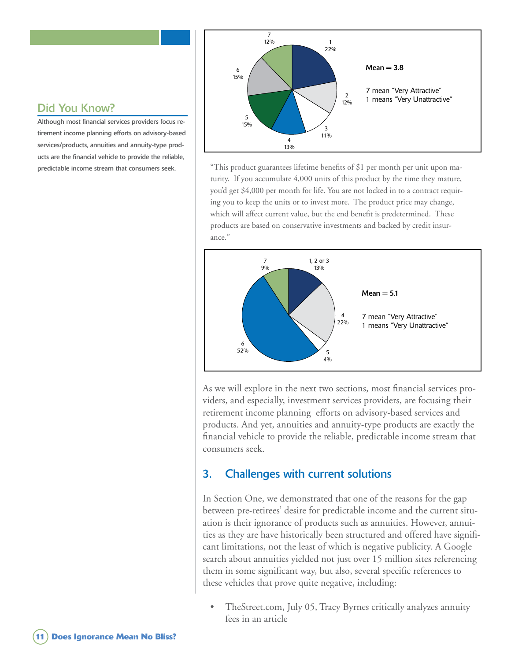

#### "This product guarantees lifetime benefits of \$1 per month per unit upon maturity. If you accumulate 4,000 units of this product by the time they mature, you'd get \$4,000 per month for life. You are not locked in to a contract requiring you to keep the units or to invest more. The product price may change, which will affect current value, but the end benefit is predetermined. These products are based on conservative investments and backed by credit insurance."



As we will explore in the next two sections, most financial services providers, and especially, investment services providers, are focusing their retirement income planning efforts on advisory-based services and products. And yet, annuities and annuity-type products are exactly the financial vehicle to provide the reliable, predictable income stream that consumers seek.

#### 3. Challenges with current solutions

In Section One, we demonstrated that one of the reasons for the gap between pre-retirees' desire for predictable income and the current situation is their ignorance of products such as annuities. However, annuities as they are have historically been structured and offered have significant limitations, not the least of which is negative publicity. A Google search about annuities yielded not just over 15 million sites referencing them in some significant way, but also, several specific references to these vehicles that prove quite negative, including:

TheStreet.com, July 05, Tracy Byrnes critically analyzes annuity fees in an article •

#### Did You Know?

Although most financial services providers focus retirement income planning efforts on advisory-based services/products, annuities and annuity-type products are the financial vehicle to provide the reliable, predictable income stream that consumers seek.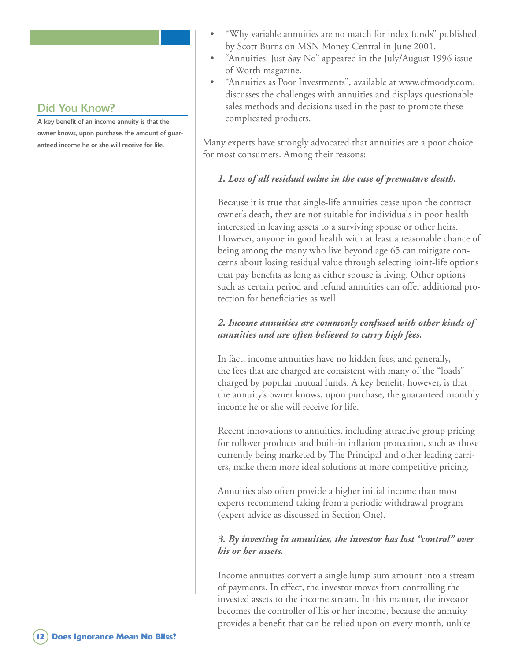A key benefit of an income annuity is that the owner knows, upon purchase, the amount of guaranteed income he or she will receive for life.

- "Why variable annuities are no match for index funds" published by Scott Burns on MSN Money Central in June 2001. •
- "Annuities: Just Say No" appeared in the July/August 1996 issue of Worth magazine.
- "Annuities as Poor Investments", available at www.efmoody.com, discusses the challenges with annuities and displays questionable sales methods and decisions used in the past to promote these complicated products. •

Many experts have strongly advocated that annuities are a poor choice for most consumers. Among their reasons:

#### *1. Loss of all residual value in the case of premature death.*

Because it is true that single-life annuities cease upon the contract owner's death, they are not suitable for individuals in poor health interested in leaving assets to a surviving spouse or other heirs. However, anyone in good health with at least a reasonable chance of being among the many who live beyond age 65 can mitigate concerns about losing residual value through selecting joint-life options that pay benefits as long as either spouse is living. Other options such as certain period and refund annuities can offer additional protection for beneficiaries as well.

#### *2. Income annuities are commonly confused with other kinds of annuities and are often believed to carry high fees.*

In fact, income annuities have no hidden fees, and generally, the fees that are charged are consistent with many of the "loads" charged by popular mutual funds. A key benefit, however, is that the annuity's owner knows, upon purchase, the guaranteed monthly income he or she will receive for life.

Recent innovations to annuities, including attractive group pricing for rollover products and built-in inflation protection, such as those currently being marketed by The Principal and other leading carriers, make them more ideal solutions at more competitive pricing.

Annuities also often provide a higher initial income than most experts recommend taking from a periodic withdrawal program (expert advice as discussed in Section One).

#### *3. By investing in annuities, the investor has lost "control" over his or her assets.*

Income annuities convert a single lump-sum amount into a stream of payments. In effect, the investor moves from controlling the invested assets to the income stream. In this manner, the investor becomes the controller of his or her income, because the annuity provides a benefit that can be relied upon on every month, unlike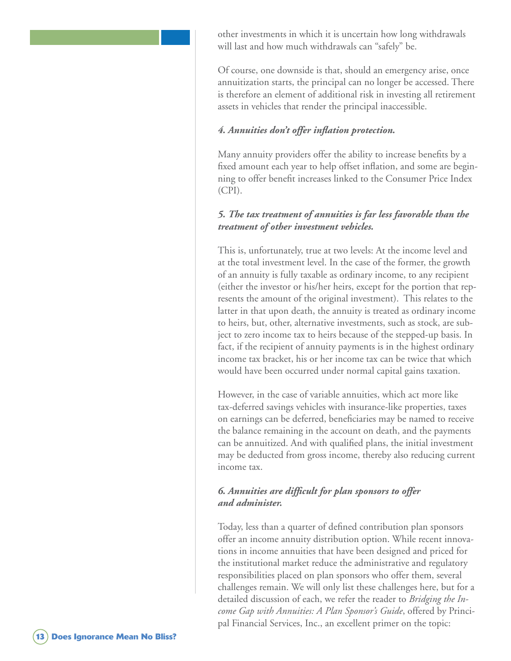other investments in which it is uncertain how long withdrawals will last and how much withdrawals can "safely" be.

Of course, one downside is that, should an emergency arise, once annuitization starts, the principal can no longer be accessed. There is therefore an element of additional risk in investing all retirement assets in vehicles that render the principal inaccessible.

#### *4. Annuities don't offer inflation protection.*

Many annuity providers offer the ability to increase benefits by a fixed amount each year to help offset inflation, and some are beginning to offer benefit increases linked to the Consumer Price Index (CPI).

#### *5. The tax treatment of annuities is far less favorable than the treatment of other investment vehicles.*

This is, unfortunately, true at two levels: At the income level and at the total investment level. In the case of the former, the growth of an annuity is fully taxable as ordinary income, to any recipient (either the investor or his/her heirs, except for the portion that represents the amount of the original investment). This relates to the latter in that upon death, the annuity is treated as ordinary income to heirs, but, other, alternative investments, such as stock, are subject to zero income tax to heirs because of the stepped-up basis. In fact, if the recipient of annuity payments is in the highest ordinary income tax bracket, his or her income tax can be twice that which would have been occurred under normal capital gains taxation.

However, in the case of variable annuities, which act more like tax-deferred savings vehicles with insurance-like properties, taxes on earnings can be deferred, beneficiaries may be named to receive the balance remaining in the account on death, and the payments can be annuitized. And with qualified plans, the initial investment may be deducted from gross income, thereby also reducing current income tax.

#### *6. Annuities are difficult for plan sponsors to offer and administer.*

Today, less than a quarter of defined contribution plan sponsors offer an income annuity distribution option. While recent innovations in income annuities that have been designed and priced for the institutional market reduce the administrative and regulatory responsibilities placed on plan sponsors who offer them, several challenges remain. We will only list these challenges here, but for a detailed discussion of each, we refer the reader to *Bridging the Income Gap with Annuities: A Plan Sponsor's Guide*, offered by Principal Financial Services, Inc., an excellent primer on the topic: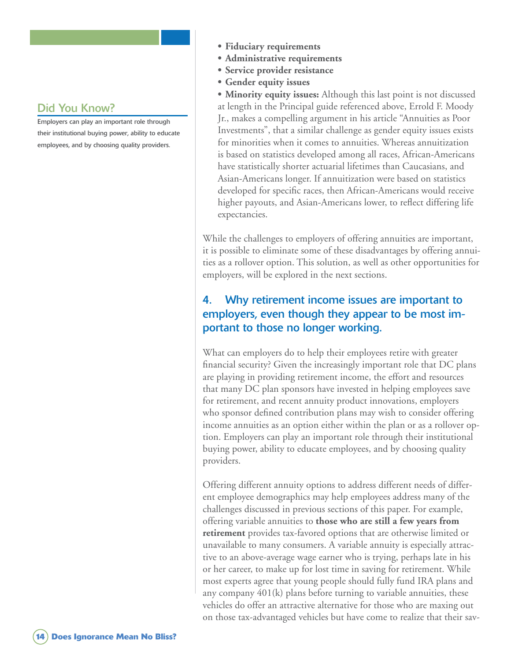Employers can play an important role through their institutional buying power, ability to educate employees, and by choosing quality providers.

- **• Fiduciary requirements**
- **• Administrative requirements**
- **• Service provider resistance**
- **• Gender equity issues**

**• Minority equity issues:** Although this last point is not discussed at length in the Principal guide referenced above, Errold F. Moody Jr., makes a compelling argument in his article "Annuities as Poor Investments", that a similar challenge as gender equity issues exists for minorities when it comes to annuities. Whereas annuitization is based on statistics developed among all races, African-Americans have statistically shorter actuarial lifetimes than Caucasians, and Asian-Americans longer. If annuitization were based on statistics developed for specific races, then African-Americans would receive higher payouts, and Asian-Americans lower, to reflect differing life expectancies.

While the challenges to employers of offering annuities are important, it is possible to eliminate some of these disadvantages by offering annuities as a rollover option. This solution, as well as other opportunities for employers, will be explored in the next sections.

### 4. Why retirement income issues are important to employers, even though they appear to be most important to those no longer working.

What can employers do to help their employees retire with greater financial security? Given the increasingly important role that DC plans are playing in providing retirement income, the effort and resources that many DC plan sponsors have invested in helping employees save for retirement, and recent annuity product innovations, employers who sponsor defined contribution plans may wish to consider offering income annuities as an option either within the plan or as a rollover option. Employers can play an important role through their institutional buying power, ability to educate employees, and by choosing quality providers.

Offering different annuity options to address different needs of different employee demographics may help employees address many of the challenges discussed in previous sections of this paper. For example, offering variable annuities to **those who are still a few years from retirement** provides tax-favored options that are otherwise limited or unavailable to many consumers. A variable annuity is especially attractive to an above-average wage earner who is trying, perhaps late in his or her career, to make up for lost time in saving for retirement. While most experts agree that young people should fully fund IRA plans and any company 401(k) plans before turning to variable annuities, these vehicles do offer an attractive alternative for those who are maxing out on those tax-advantaged vehicles but have come to realize that their sav-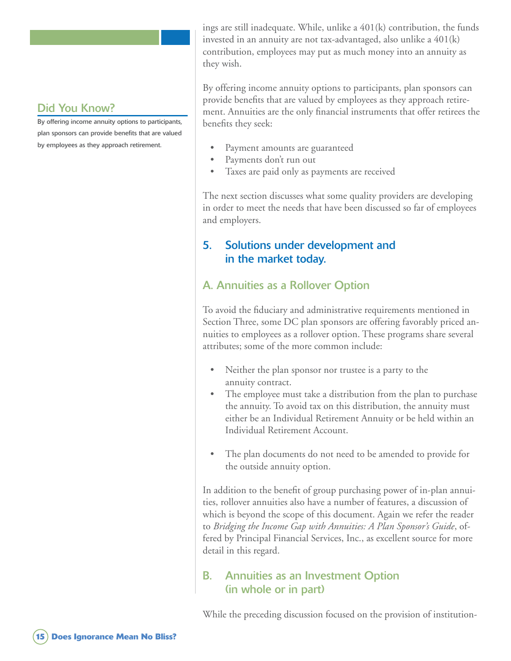By offering income annuity options to participants, plan sponsors can provide benefits that are valued by employees as they approach retirement.

ings are still inadequate. While, unlike a 401(k) contribution, the funds invested in an annuity are not tax-advantaged, also unlike a 401(k) contribution, employees may put as much money into an annuity as they wish.

By offering income annuity options to participants, plan sponsors can provide benefits that are valued by employees as they approach retirement. Annuities are the only financial instruments that offer retirees the benefits they seek:

- Payment amounts are guaranteed •
- Payments don't run out •
- Taxes are paid only as payments are received •

The next section discusses what some quality providers are developing in order to meet the needs that have been discussed so far of employees and employers.

#### 5. Solutions under development and in the market today.

### A. Annuities as a Rollover Option

To avoid the fiduciary and administrative requirements mentioned in Section Three, some DC plan sponsors are offering favorably priced annuities to employees as a rollover option. These programs share several attributes; some of the more common include:

- Neither the plan sponsor nor trustee is a party to the annuity contract. •
- The employee must take a distribution from the plan to purchase the annuity. To avoid tax on this distribution, the annuity must either be an Individual Retirement Annuity or be held within an Individual Retirement Account. •
- The plan documents do not need to be amended to provide for the outside annuity option. •

In addition to the benefit of group purchasing power of in-plan annuities, rollover annuities also have a number of features, a discussion of which is beyond the scope of this document. Again we refer the reader to *Bridging the Income Gap with Annuities: A Plan Sponsor's Guide*, offered by Principal Financial Services, Inc., as excellent source for more detail in this regard.

#### B. Annuities as an Investment Option (in whole or in part)

While the preceding discussion focused on the provision of institution-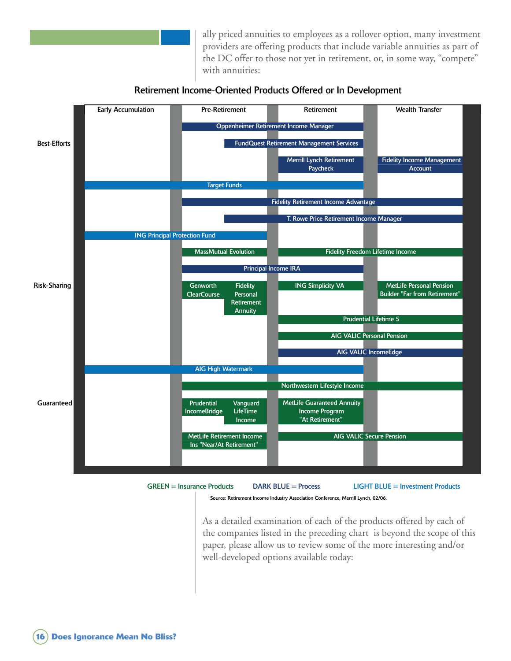

ally priced annuities to employees as a rollover option, many investment providers are offering products that include variable annuities as part of the DC offer to those not yet in retirement, or, in some way, "compete" with annuities:





GREEN = Insurance Products DARK BLUE = Process LIGHT BLUE = Investment Products

Source: Retirement Income Industry Association Conference, Merrill Lynch, 02/06.

As a detailed examination of each of the products offered by each of the companies listed in the preceding chart is beyond the scope of this paper, please allow us to review some of the more interesting and/or well-developed options available today: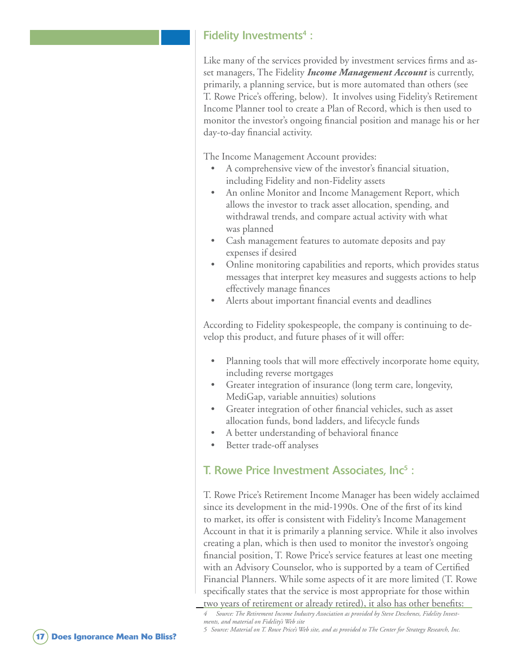#### Fidelity Investments<sup>4</sup> :

Like many of the services provided by investment services firms and asset managers, The Fidelity *Income Management Account* is currently, primarily, a planning service, but is more automated than others (see T. Rowe Price's offering, below). It involves using Fidelity's Retirement Income Planner tool to create a Plan of Record, which is then used to monitor the investor's ongoing financial position and manage his or her day-to-day financial activity.

The Income Management Account provides:

- A comprehensive view of the investor's financial situation, including Fidelity and non-Fidelity assets •
- An online Monitor and Income Management Report, which allows the investor to track asset allocation, spending, and withdrawal trends, and compare actual activity with what was planned •
- Cash management features to automate deposits and pay expenses if desired •
- Online monitoring capabilities and reports, which provides status messages that interpret key measures and suggests actions to help effectively manage finances
- Alerts about important financial events and deadlines •

According to Fidelity spokespeople, the company is continuing to develop this product, and future phases of it will offer:

- Planning tools that will more effectively incorporate home equity, including reverse mortgages •
- Greater integration of insurance (long term care, longevity, MediGap, variable annuities) solutions •
- Greater integration of other financial vehicles, such as asset allocation funds, bond ladders, and lifecycle funds •
- A better understanding of behavioral finance •
- Better trade-off analyses •

#### T. Rowe Price Investment Associates, Inc<sup>5</sup>:

T. Rowe Price's Retirement Income Manager has been widely acclaimed since its development in the mid-1990s. One of the first of its kind to market, its offer is consistent with Fidelity's Income Management Account in that it is primarily a planning service. While it also involves creating a plan, which is then used to monitor the investor's ongoing financial position, T. Rowe Price's service features at least one meeting with an Advisory Counselor, who is supported by a team of Certified Financial Planners. While some aspects of it are more limited (T. Rowe specifically states that the service is most appropriate for those within two years of retirement or already retired), it also has other benefits:

 *Source: The Retirement Income Industry Association as provided by Steve Deschenes, Fidelity Investments, and material on Fidelity's Web site*

<sup>5</sup> Source: Material on T. Rowe Price's Web site, and as provided to The Center for Strategy Research, Inc.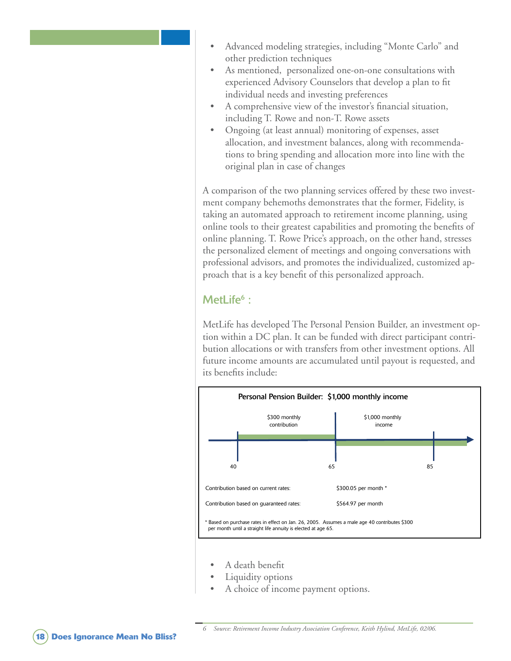- Advanced modeling strategies, including "Monte Carlo" and other prediction techniques •
- As mentioned, personalized one-on-one consultations with experienced Advisory Counselors that develop a plan to fit individual needs and investing preferences •
- A comprehensive view of the investor's financial situation, including T. Rowe and non-T. Rowe assets •
- Ongoing (at least annual) monitoring of expenses, asset allocation, and investment balances, along with recommendations to bring spending and allocation more into line with the original plan in case of changes •

A comparison of the two planning services offered by these two investment company behemoths demonstrates that the former, Fidelity, is taking an automated approach to retirement income planning, using online tools to their greatest capabilities and promoting the benefits of online planning. T. Rowe Price's approach, on the other hand, stresses the personalized element of meetings and ongoing conversations with professional advisors, and promotes the individualized, customized approach that is a key benefit of this personalized approach.

#### MetLife<sup>6</sup>:

MetLife has developed The Personal Pension Builder, an investment option within a DC plan. It can be funded with direct participant contribution allocations or with transfers from other investment options. All future income amounts are accumulated until payout is requested, and its benefits include:



- A death benefit •
- Liquidity options •
- A choice of income payment options. •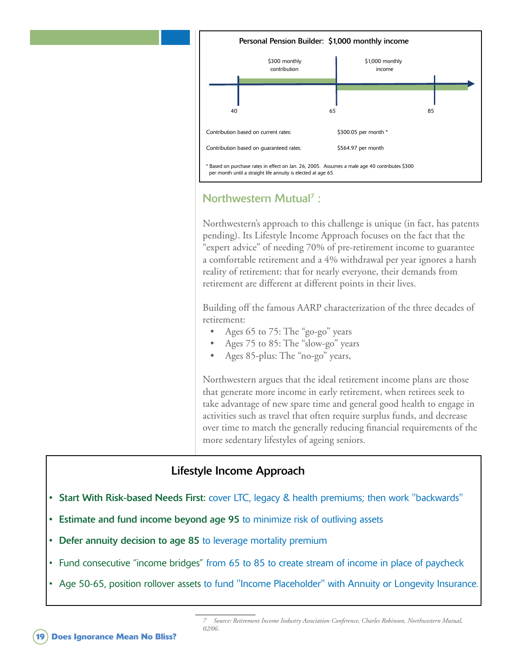

### Northwestern Mutual<sup>7</sup>:

Northwestern's approach to this challenge is unique (in fact, has patents pending). Its Lifestyle Income Approach focuses on the fact that the "expert advice" of needing 70% of pre-retirement income to guarantee a comfortable retirement and a 4% withdrawal per year ignores a harsh reality of retirement: that for nearly everyone, their demands from retirement are different at different points in their lives.

Building off the famous AARP characterization of the three decades of retirement:

- Ages 65 to 75: The "go-go" years •
- Ages 75 to 85: The "slow-go" years •
- Ages 85-plus: The "no-go" years, •

Northwestern argues that the ideal retirement income plans are those that generate more income in early retirement, when retirees seek to take advantage of new spare time and general good health to engage in activities such as travel that often require surplus funds, and decrease over time to match the generally reducing financial requirements of the more sedentary lifestyles of ageing seniors.

### Lifestyle Income Approach

- Start With Risk-based Needs First: cover LTC, legacy & health premiums; then work "backwards"
- **Estimate and fund income beyond age 95 to minimize risk of outliving assets**
- Defer annuity decision to age 85 to leverage mortality premium
- Fund consecutive "income bridges" from 65 to 85 to create stream of income in place of paycheck
- Age 50-65, position rollover assets to fund "Income Placeholder" with Annuity or Longevity Insurance.

 *Source: Retirement Income Industry Association Conference, Charles Robinson, Northwestern Mutual, 02/06.*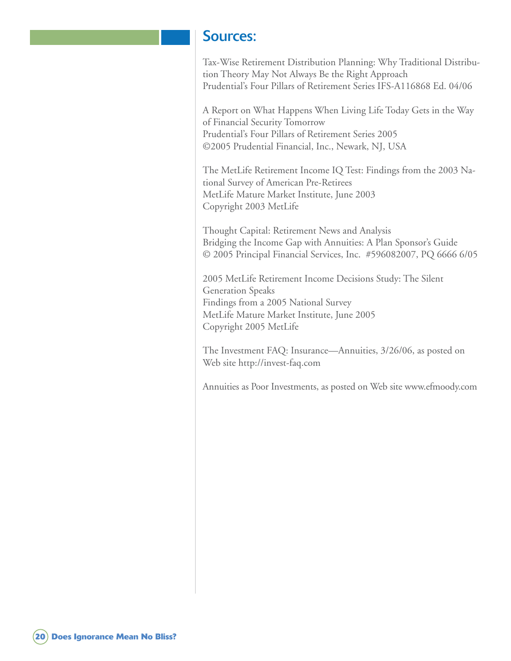### Sources:

Tax-Wise Retirement Distribution Planning: Why Traditional Distribution Theory May Not Always Be the Right Approach Prudential's Four Pillars of Retirement Series IFS-A116868 Ed. 04/06

A Report on What Happens When Living Life Today Gets in the Way of Financial Security Tomorrow Prudential's Four Pillars of Retirement Series 2005 ©2005 Prudential Financial, Inc., Newark, NJ, USA

The MetLife Retirement Income IQ Test: Findings from the 2003 National Survey of American Pre-Retirees MetLife Mature Market Institute, June 2003 Copyright 2003 MetLife

Thought Capital: Retirement News and Analysis Bridging the Income Gap with Annuities: A Plan Sponsor's Guide © 2005 Principal Financial Services, Inc. #596082007, PQ 6666 6/05

2005 MetLife Retirement Income Decisions Study: The Silent Generation Speaks Findings from a 2005 National Survey MetLife Mature Market Institute, June 2005 Copyright 2005 MetLife

The Investment FAQ: Insurance—Annuities, 3/26/06, as posted on Web site http://invest-faq.com

Annuities as Poor Investments, as posted on Web site www.efmoody.com